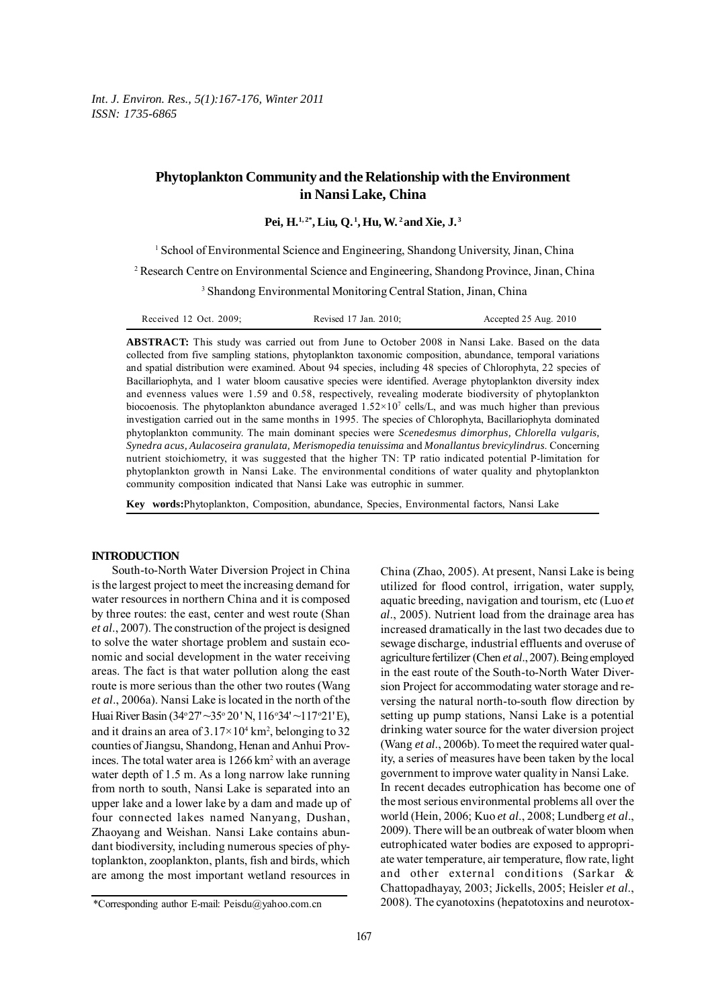*Int. J. Environ. Res., 5(1):167-176, Winter 2011 ISSN: 1735-6865*

# **Phytoplankton Community and the Relationship with the Environment in Nansi Lake, China**

Pei, H.<sup>1,2\*</sup>, Liu, Q.<sup>1</sup>, Hu, W.<sup>2</sup> and Xie, J.<sup>3</sup>

<sup>1</sup> School of Environmental Science and Engineering, Shandong University, Jinan, China

2 Research Centre on Environmental Science and Engineering, Shandong Province, Jinan, China

3 Shandong Environmental Monitoring Central Station, Jinan, China

**ABSTRACT:** This study was carried out from June to October 2008 in Nansi Lake. Based on the data collected from five sampling stations, phytoplankton taxonomic composition, abundance, temporal variations and spatial distribution were examined. About 94 species, including 48 species of Chlorophyta, 22 species of Bacillariophyta, and 1 water bloom causative species were identified. Average phytoplankton diversity index and evenness values were 1.59 and 0.58, respectively, revealing moderate biodiversity of phytoplankton biocoenosis. The phytoplankton abundance averaged  $1.52 \times 10^7$  cells/L, and was much higher than previous investigation carried out in the same months in 1995. The species of Chlorophyta, Bacillariophyta dominated phytoplankton community. The main dominant species were *Scenedesmus dimorphus, Chlorella vulgaris, Synedra acus, Aulacoseira granulata, Merismopedia tenuissima* and *Monallantus brevicylindrus*. Concerning nutrient stoichiometry, it was suggested that the higher TN: TP ratio indicated potential P-limitation for phytoplankton growth in Nansi Lake. The environmental conditions of water quality and phytoplankton community composition indicated that Nansi Lake was eutrophic in summer.

**Key words:**Phytoplankton, Composition, abundance, Species, Environmental factors, Nansi Lake

## **INTRODUCTION**

South-to-North Water Diversion Project in China is the largest project to meet the increasing demand for water resources in northern China and it is composed by three routes: the east, center and west route (Shan *et al*., 2007). The construction of the project is designed to solve the water shortage problem and sustain economic and social development in the water receiving areas. The fact is that water pollution along the east route is more serious than the other two routes (Wang *et al*., 2006a). Nansi Lake is located in the north of the Huai River Basin (34° 27' ~35° 20' N, 116° 34' ~117° 21' E), and it drains an area of  $3.17 \times 10^4$  km<sup>2</sup>, belonging to 32 counties of Jiangsu, Shandong, Henan and Anhui Provinces. The total water area is 1266 km<sup>2</sup> with an average water depth of 1.5 m. As a long narrow lake running from north to south, Nansi Lake is separated into an upper lake and a lower lake by a dam and made up of four connected lakes named Nanyang, Dushan, Zhaoyang and Weishan. Nansi Lake contains abundant biodiversity, including numerous species of phytoplankton, zooplankton, plants, fish and birds, which are among the most important wetland resources in

China (Zhao, 2005). At present, Nansi Lake is being utilized for flood control, irrigation, water supply, aquatic breeding, navigation and tourism, etc (Luo *et al*., 2005). Nutrient load from the drainage area has increased dramatically in the last two decades due to sewage discharge, industrial effluents and overuse of agriculture fertilizer (Chen *et al*., 2007). Being employed in the east route of the South-to-North Water Diversion Project for accommodating water storage and reversing the natural north-to-south flow direction by setting up pump stations, Nansi Lake is a potential drinking water source for the water diversion project (Wang *et al*., 2006b). To meet the required water quality, a series of measures have been taken by the local government to improve water quality in Nansi Lake. In recent decades eutrophication has become one of the most serious environmental problems all over the world (Hein, 2006; Kuo *et al*., 2008; Lundberg *et al*., 2009). There will be an outbreak of water bloom when eutrophicated water bodies are exposed to appropriate water temperature, air temperature, flow rate, light and other external conditions (Sarkar & Chattopadhayay, 2003; Jickells, 2005; Heisler *et al*., 2008). The cyanotoxins (hepatotoxins and neurotox-

<sup>\*</sup>Corresponding author E-mail: Peisdu@yahoo.com.cn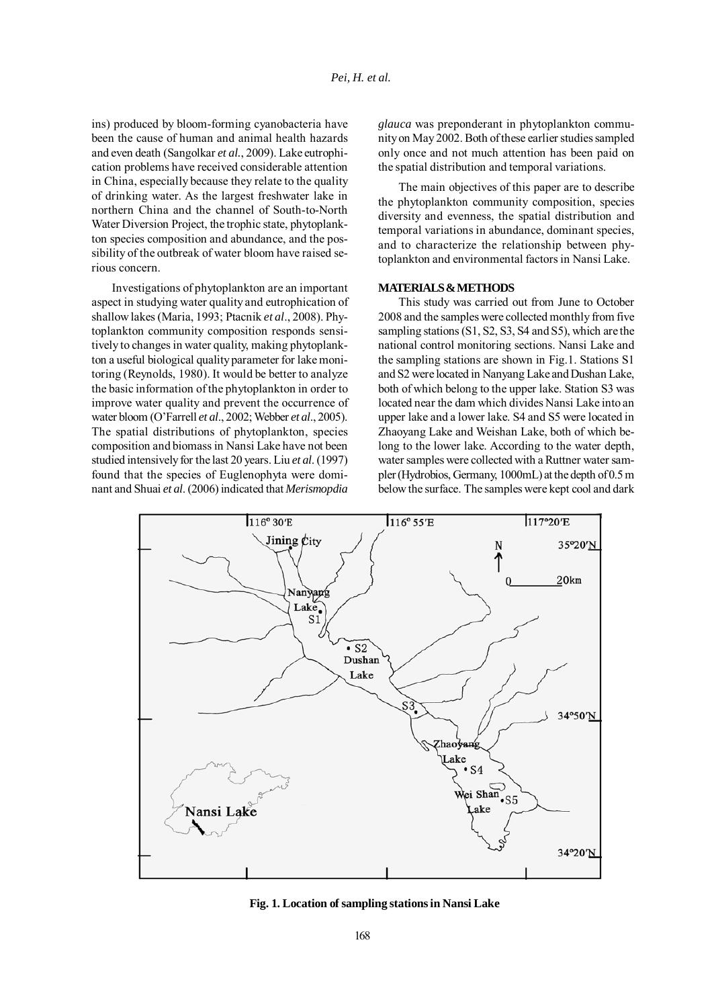ins) produced by bloom-forming cyanobacteria have been the cause of human and animal health hazards and even death (Sangolkar *et al.*, 2009). Lake eutrophication problems have received considerable attention in China, especially because they relate to the quality of drinking water. As the largest freshwater lake in northern China and the channel of South-to-North Water Diversion Project, the trophic state, phytoplankton species composition and abundance, and the possibility of the outbreak of water bloom have raised serious concern.

Investigations of phytoplankton are an important aspect in studying water quality and eutrophication of shallow lakes (Maria, 1993; Ptacnik *et al*., 2008). Phytoplankton community composition responds sensitively to changes in water quality, making phytoplankton a useful biological quality parameter for lake monitoring (Reynolds, 1980). It would be better to analyze the basic information of the phytoplankton in order to improve water quality and prevent the occurrence of water bloom (O'Farrell *et al*., 2002; Webber *et al*., 2005). The spatial distributions of phytoplankton, species composition and biomass in Nansi Lake have not been studied intensively for the last 20 years. Liu *et al*. (1997) found that the species of Euglenophyta were dominant and Shuai *et al*. (2006) indicated that *Merismopdia*

*glauca* was preponderant in phytoplankton community on May 2002. Both of these earlier studies sampled only once and not much attention has been paid on the spatial distribution and temporal variations.

The main objectives of this paper are to describe the phytoplankton community composition, species diversity and evenness, the spatial distribution and temporal variations in abundance, dominant species, and to characterize the relationship between phytoplankton and environmental factors in Nansi Lake.

#### **MATERIALS & METHODS**

This study was carried out from June to October 2008 and the samples were collected monthly from five sampling stations (S1, S2, S3, S4 and S5), which are the national control monitoring sections. Nansi Lake and the sampling stations are shown in Fig.1. Stations S1 and S2 were located in Nanyang Lake and Dushan Lake, both of which belong to the upper lake. Station S3 was located near the dam which divides Nansi Lake into an upper lake and a lower lake. S4 and S5 were located in Zhaoyang Lake and Weishan Lake, both of which belong to the lower lake. According to the water depth, water samples were collected with a Ruttner water sampler (Hydrobios, Germany, 1000mL) at the depth of 0.5 m below the surface. The samples were kept cool and dark



**Fig. 1. Location of sampling stations in Nansi Lake**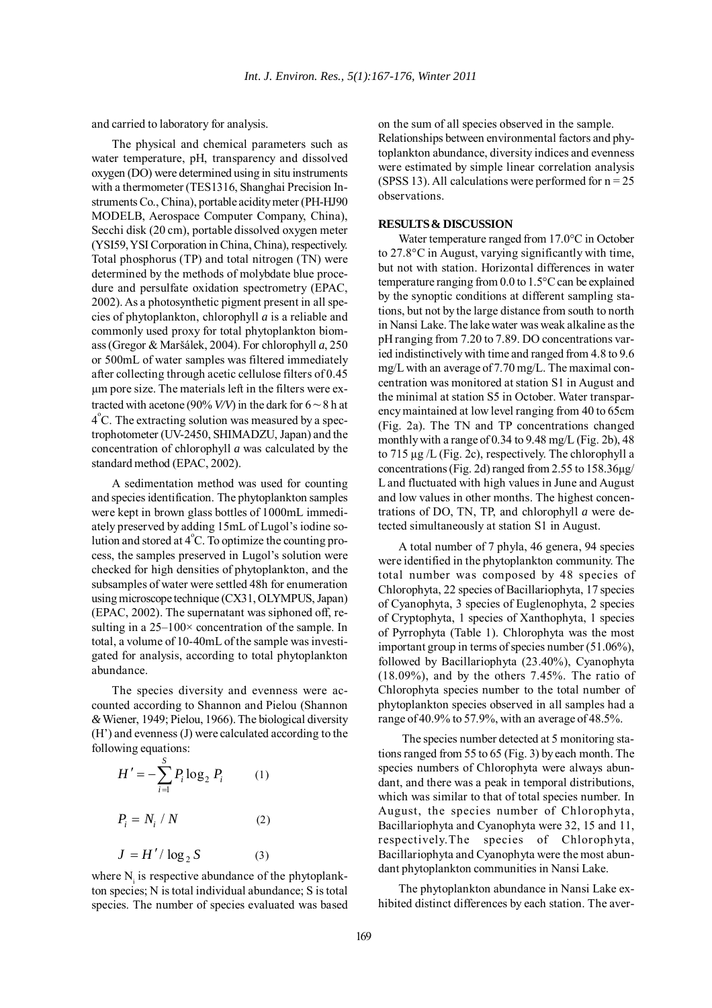and carried to laboratory for analysis.

The physical and chemical parameters such as water temperature, pH, transparency and dissolved oxygen (DO) were determined using in situ instruments with a thermometer (TES1316, Shanghai Precision Instruments Co., China), portable acidity meter (PH-HJ90 MODELB, Aerospace Computer Company, China), Secchi disk (20 cm), portable dissolved oxygen meter (YSI59, YSI Corporation in China, China), respectively. Total phosphorus (TP) and total nitrogen (TN) were determined by the methods of molybdate blue procedure and persulfate oxidation spectrometry (EPAC, 2002). As a photosynthetic pigment present in all species of phytoplankton, chlorophyll *a* is a reliable and commonly used proxy for total phytoplankton biomass (Gregor & Maršálek, 2004). For chlorophyll *a*, 250 or 500mL of water samples was filtered immediately after collecting through acetic cellulose filters of 0.45 µm pore size. The materials left in the filters were extracted with acetone (90%  $V/V$ ) in the dark for  $6 \sim 8$  h at 4°C. The extracting solution was measured by a spectrophotometer (UV-2450, SHIMADZU, Japan) and the concentration of chlorophyll *a* was calculated by the standard method (EPAC, 2002).

A sedimentation method was used for counting and species identification. The phytoplankton samples were kept in brown glass bottles of 1000mL immediately preserved by adding 15mL of Lugol's iodine solution and stored at  $4^{\circ}$ C. To optimize the counting process, the samples preserved in Lugol's solution were checked for high densities of phytoplankton, and the subsamples of water were settled 48h for enumeration using microscope technique (CX31, OLYMPUS, Japan) (EPAC, 2002). The supernatant was siphoned off, resulting in a  $25-100\times$  concentration of the sample. In total, a volume of 10-40mL of the sample was investigated for analysis, according to total phytoplankton abundance.

The species diversity and evenness were accounted according to Shannon and Pielou (Shannon *&* Wiener, 1949; Pielou, 1966). The biological diversity (H') and evenness (J) were calculated according to the following equations:

$$
H' = -\sum_{i=1}^{S} P_i \log_2 P_i \qquad (1)
$$
  

$$
P_i = N_i / N \qquad (2)
$$
  

$$
J = H' / \log_2 S \qquad (3)
$$

where  $N_i$  is respective abundance of the phytoplankton species; N is total individual abundance; S is total species. The number of species evaluated was based on the sum of all species observed in the sample. Relationships between environmental factors and phytoplankton abundance, diversity indices and evenness were estimated by simple linear correlation analysis (SPSS 13). All calculations were performed for  $n = 25$ observations.

## **RESULTS & DISCUSSION**

Water temperature ranged from 17.0°C in October to 27.8°C in August, varying significantly with time, but not with station. Horizontal differences in water temperature ranging from 0.0 to 1.5°C can be explained by the synoptic conditions at different sampling stations, but not by the large distance from south to north in Nansi Lake. The lake water was weak alkaline as the pH ranging from 7.20 to 7.89. DO concentrations varied indistinctively with time and ranged from 4.8 to 9.6 mg/L with an average of 7.70 mg/L. The maximal concentration was monitored at station S1 in August and the minimal at station S5 in October. Water transparency maintained at low level ranging from 40 to 65cm (Fig. 2a). The TN and TP concentrations changed monthly with a range of 0.34 to 9.48 mg/L (Fig. 2b), 48 to 715 µg /L (Fig. 2c), respectively. The chlorophyll a concentrations (Fig. 2d) ranged from 2.55 to 158.36µg/ L and fluctuated with high values in June and August and low values in other months. The highest concentrations of DO, TN, TP, and chlorophyll *a* were detected simultaneously at station S1 in August.

A total number of 7 phyla, 46 genera, 94 species were identified in the phytoplankton community. The total number was composed by 48 species of Chlorophyta, 22 species of Bacillariophyta, 17 species of Cyanophyta, 3 species of Euglenophyta, 2 species of Cryptophyta, 1 species of Xanthophyta, 1 species of Pyrrophyta (Table 1). Chlorophyta was the most important group in terms of species number (51.06%), followed by Bacillariophyta (23.40%), Cyanophyta (18.09%), and by the others 7.45%. The ratio of Chlorophyta species number to the total number of phytoplankton species observed in all samples had a range of 40.9% to 57.9%, with an average of 48.5%.

The species number detected at 5 monitoring stations ranged from 55 to 65 (Fig. 3) by each month. The species numbers of Chlorophyta were always abundant, and there was a peak in temporal distributions, which was similar to that of total species number. In August, the species number of Chlorophyta, Bacillariophyta and Cyanophyta were 32, 15 and 11, respectively.The species of Chlorophyta, Bacillariophyta and Cyanophyta were the most abundant phytoplankton communities in Nansi Lake.

The phytoplankton abundance in Nansi Lake exhibited distinct differences by each station. The aver-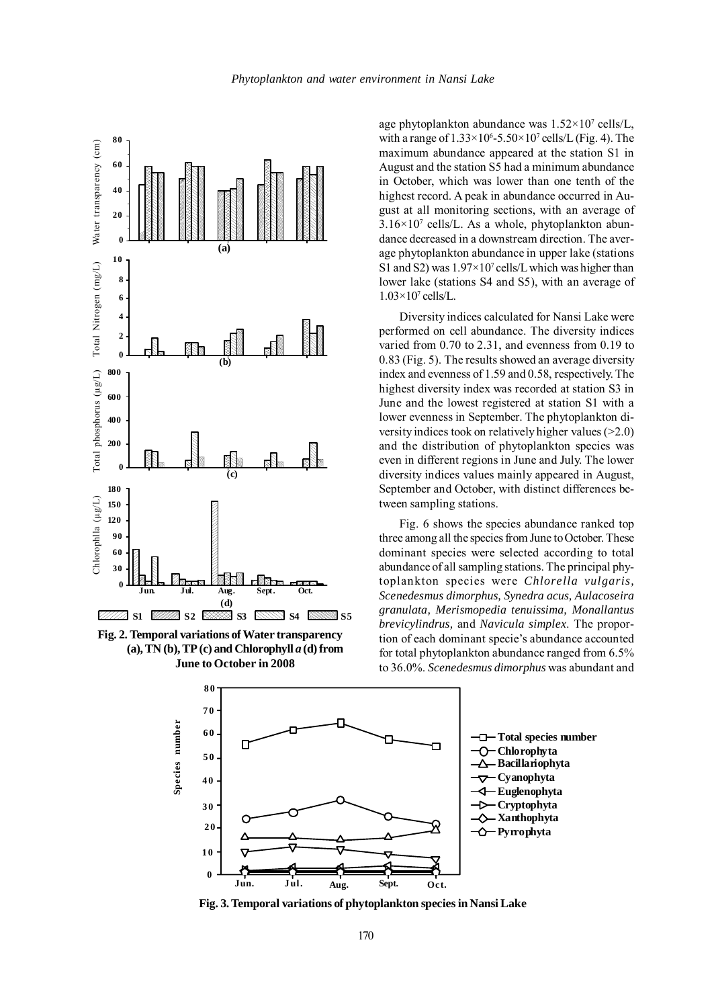

**Fig. 2. Temporal variations of Water transparency (a), TN (b), TP (c) and Chlorophyll** *a* **(d) from June to October in 2008**

age phytoplankton abundance was  $1.52 \times 10^7$  cells/L, with a range of  $1.33 \times 10^6$ -5.50 $\times 10^7$  cells/L (Fig. 4). The maximum abundance appeared at the station S1 in August and the station S5 had a minimum abundance in October, which was lower than one tenth of the highest record. A peak in abundance occurred in August at all monitoring sections, with an average of  $3.16 \times 10^7$  cells/L. As a whole, phytoplankton abundance decreased in a downstream direction. The average phytoplankton abundance in upper lake (stations S1 and S2) was  $1.97 \times 10^7$  cells/L which was higher than lower lake (stations S4 and S5), with an average of  $1.03\times10^7$  cells/L.

Diversity indices calculated for Nansi Lake were performed on cell abundance. The diversity indices varied from 0.70 to 2.31, and evenness from 0.19 to 0.83 (Fig. 5). The results showed an average diversity index and evenness of 1.59 and 0.58, respectively. The highest diversity index was recorded at station S3 in June and the lowest registered at station S1 with a lower evenness in September. The phytoplankton diversity indices took on relatively higher values (>2.0) and the distribution of phytoplankton species was even in different regions in June and July. The lower diversity indices values mainly appeared in August, September and October, with distinct differences between sampling stations.

Fig. 6 shows the species abundance ranked top three among all the species from June to October. These dominant species were selected according to total abundance of all sampling stations. The principal phytoplankton species were *Chlorella vulgaris, Scenedesmus dimorphus, Synedra acus, Aulacoseira granulata, Merismopedia tenuissima, Monallantus brevicylindrus,* and *Navicula simplex*. The proportion of each dominant specie's abundance accounted for total phytoplankton abundance ranged from 6.5% to 36.0%. *Scenedesmus dimorphus* was abundant and



**Fig. 3. Temporal variations of phytoplankton species in Nansi Lake**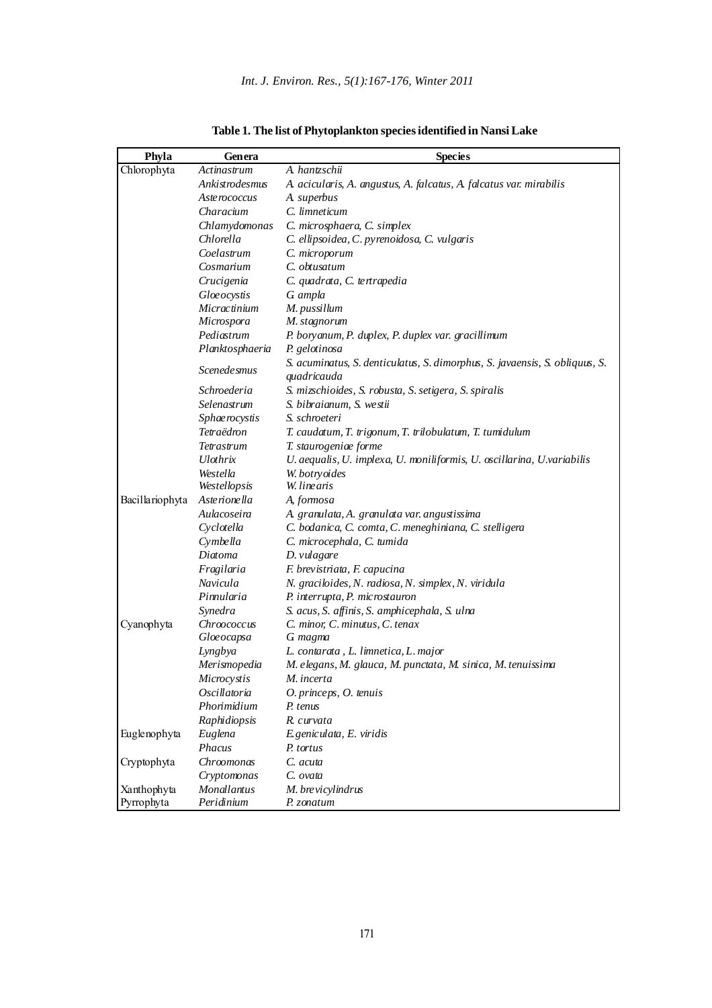| Phyla           | Genera              | <b>Species</b>                                                                             |
|-----------------|---------------------|--------------------------------------------------------------------------------------------|
| Chlorophyta     | Actinastrum         | A. hantzschü                                                                               |
|                 | Ankistrodesmus      | A. acicularis, A. angustus, A. falcatus, A. falcatus var. mirabilis                        |
|                 | Aste rococcus       | A. superbus                                                                                |
|                 | Characium           | C. limneticum                                                                              |
|                 | Chlamydomonas       | C. microsphaera, C. simplex                                                                |
|                 | Chlorella           | C. ellipsoidea, C. pyrenoidosa, C. vulgaris                                                |
|                 | Coelastrum          | C. microporum                                                                              |
|                 | Cosmarium           | C. obtusatum                                                                               |
|                 | Crucigenia          | C. quadrata, C. tertrapedia                                                                |
|                 | <b>Gloe</b> ocystis | G ampla                                                                                    |
|                 | Micractinium        | M. pussillum                                                                               |
|                 | Microspora          | M. stagnorum                                                                               |
|                 | Pediastrum          | P. boryanum, P. duplex, P. duplex var. gracillimum                                         |
|                 | Planktosphaeria     | P. gelotinosa                                                                              |
|                 | Scenede smus        | S. acuminatus, S. denticulatus, S. dimorphus, S. javaensis, S. obliquus, S.<br>quadricauda |
|                 | Schroederia         | S. mizschioides, S. robusta, S. setigera, S. spiralis                                      |
|                 | Selenastrum         | S. bibraianum, S. westii                                                                   |
|                 | Sphae rocystis      | S. schroeteri                                                                              |
|                 | Tetraëdron          | T. caudatum, T. trigonum, T. trilobulatum, T. tumidulum                                    |
|                 | Tetrastrum          | T. staurogeniae forme                                                                      |
|                 | <b>Ulothrix</b>     | U. aequalis, U. implexa, U. moniliformis, U. oscillarina, U. variabilis                    |
|                 | Westella            | W. botryoides                                                                              |
|                 | Westellopsis        | W. linearis                                                                                |
| Bacillariophyta | Aste rionella       | A, formosa                                                                                 |
|                 | Aulacoseira         | A. granulata, A. granulata var. angustissima                                               |
|                 | Cyclotella          | C. bodanica, C. comta, C. meneghiniana, C. stelligera                                      |
|                 | Cymbella            | C. microcephala, C. tumida                                                                 |
|                 | Diatoma             | D. vulagare                                                                                |
|                 | Fragilaria          | F. brevistriata, F. capucina                                                               |
|                 | Navicula            | N. graciloides, N. radiosa, N. simplex, N. viridula                                        |
|                 | Pinnularia          | P. interrupta, P. microstauron                                                             |
|                 | Synedra             | S. acus, S. affinis, S. amphicephala, S. ulna                                              |
| Cyanophyta      | <b>Chroococcus</b>  | C. minor, C. minutus, C. tenax                                                             |
|                 | Gloe ocapsa         | G magma                                                                                    |
|                 | Lyngbya             | L. contarata, L. limnetica, L. major                                                       |
|                 | Merismopedia        | M. elegans, M. glauca, M. punctata, M. sinica, M. tenuissima                               |
|                 | Microcystis         | M. incerta                                                                                 |
|                 | Oscillatoria        | O. princeps, O. tenuis                                                                     |
|                 | Phorimidium         | P. tenus                                                                                   |
|                 | Raphidiopsis        | R. curvata                                                                                 |
| Euglenophyta    | Euglena             | E geniculata, E. viridis                                                                   |
|                 | Phacus              | P. tortus                                                                                  |
| Cryptophyta     | Chroomonas          | C. acuta                                                                                   |
|                 | Cryptomonas         | C. ovata                                                                                   |
| Xanthophyta     | Monallantus         | M. brevicylindrus                                                                          |
| Pyrrophyta      | Peridinium          | P. zonatum                                                                                 |

**Table 1. The list of Phytoplankton species identified in Nansi Lake**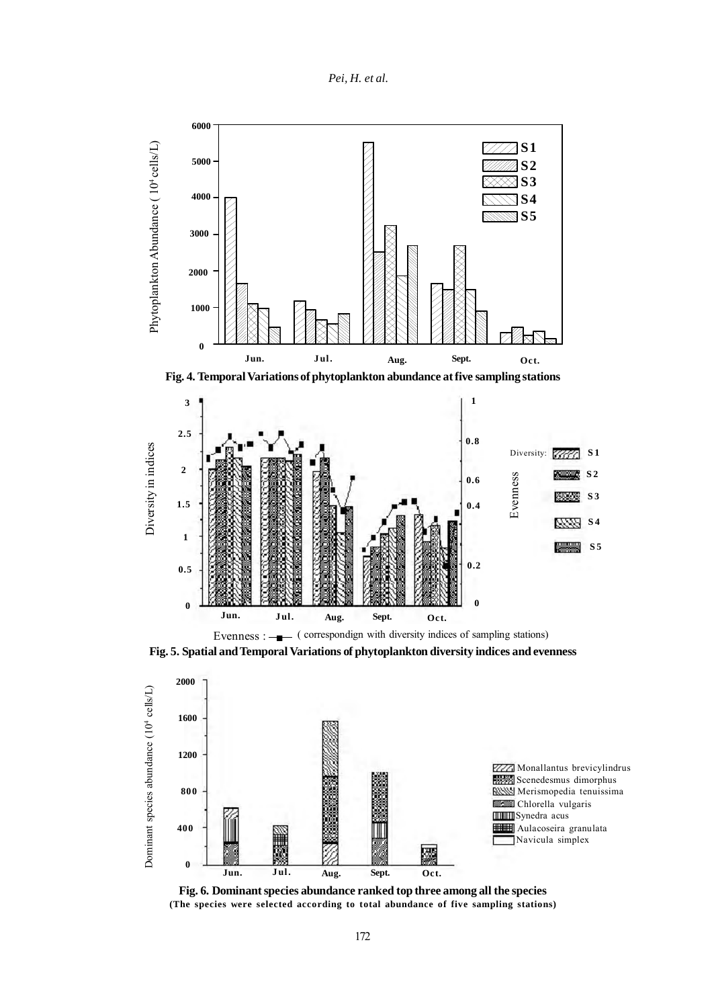





**Fig. 5. Spatial and Temporal Variations of phytoplankton diversity indices and evenness**



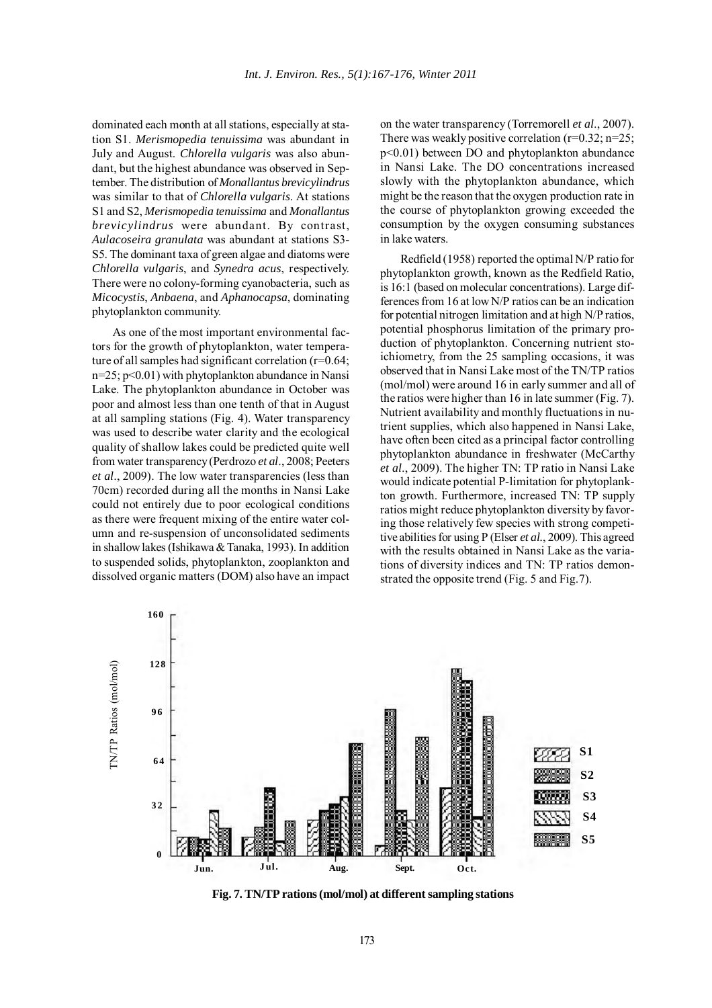dominated each month at all stations, especially at station S1. *Merismopedia tenuissima* was abundant in July and August. *Chlorella vulgaris* was also abundant, but the highest abundance was observed in September. The distribution of *Monallantus brevicylindrus* was similar to that of *Chlorella vulgaris*. At stations S1 and S2, *Merismopedia tenuissima* and *Monallantus brevicylindrus* were abundant. By contrast, *Aulacoseira granulata* was abundant at stations S3- S5. The dominant taxa of green algae and diatoms were *Chlorella vulgaris*, and *Synedra acus*, respectively. There were no colony-forming cyanobacteria, such as *Micocystis*, *Anbaena*, and *Aphanocapsa*, dominating phytoplankton community.

As one of the most important environmental factors for the growth of phytoplankton, water temperature of all samples had significant correlation (r=0.64; n=25; p<0.01) with phytoplankton abundance in Nansi Lake. The phytoplankton abundance in October was poor and almost less than one tenth of that in August at all sampling stations (Fig. 4). Water transparency was used to describe water clarity and the ecological quality of shallow lakes could be predicted quite well from water transparency (Perdrozo *et al*., 2008; Peeters *et al*., 2009). The low water transparencies (less than 70cm) recorded during all the months in Nansi Lake could not entirely due to poor ecological conditions as there were frequent mixing of the entire water column and re-suspension of unconsolidated sediments in shallow lakes (Ishikawa & Tanaka, 1993). In addition to suspended solids, phytoplankton, zooplankton and dissolved organic matters (DOM) also have an impact on the water transparency (Torremorell *et al*., 2007). There was weakly positive correlation  $(r=0.32; n=25;$ p<0.01) between DO and phytoplankton abundance in Nansi Lake. The DO concentrations increased slowly with the phytoplankton abundance, which might be the reason that the oxygen production rate in the course of phytoplankton growing exceeded the consumption by the oxygen consuming substances in lake waters.

Redfield (1958) reported the optimal N/P ratio for phytoplankton growth, known as the Redfield Ratio, is 16:1 (based on molecular concentrations). Large differences from 16 at low N/P ratios can be an indication for potential nitrogen limitation and at high N/P ratios, potential phosphorus limitation of the primary production of phytoplankton. Concerning nutrient stoichiometry, from the 25 sampling occasions, it was observed that in Nansi Lake most of the TN/TP ratios (mol/mol) were around 16 in early summer and all of the ratios were higher than 16 in late summer (Fig. 7). Nutrient availability and monthly fluctuations in nutrient supplies, which also happened in Nansi Lake, have often been cited as a principal factor controlling phytoplankton abundance in freshwater (McCarthy *et al*., 2009). The higher TN: TP ratio in Nansi Lake would indicate potential P-limitation for phytoplankton growth. Furthermore, increased TN: TP supply ratios might reduce phytoplankton diversity by favoring those relatively few species with strong competitive abilities for using P (Elser *et al.*, 2009). This agreed with the results obtained in Nansi Lake as the variations of diversity indices and TN: TP ratios demonstrated the opposite trend (Fig. 5 and Fig.7).



**Fig. 7. TN/TP rations (mol/mol) at different sampling stations**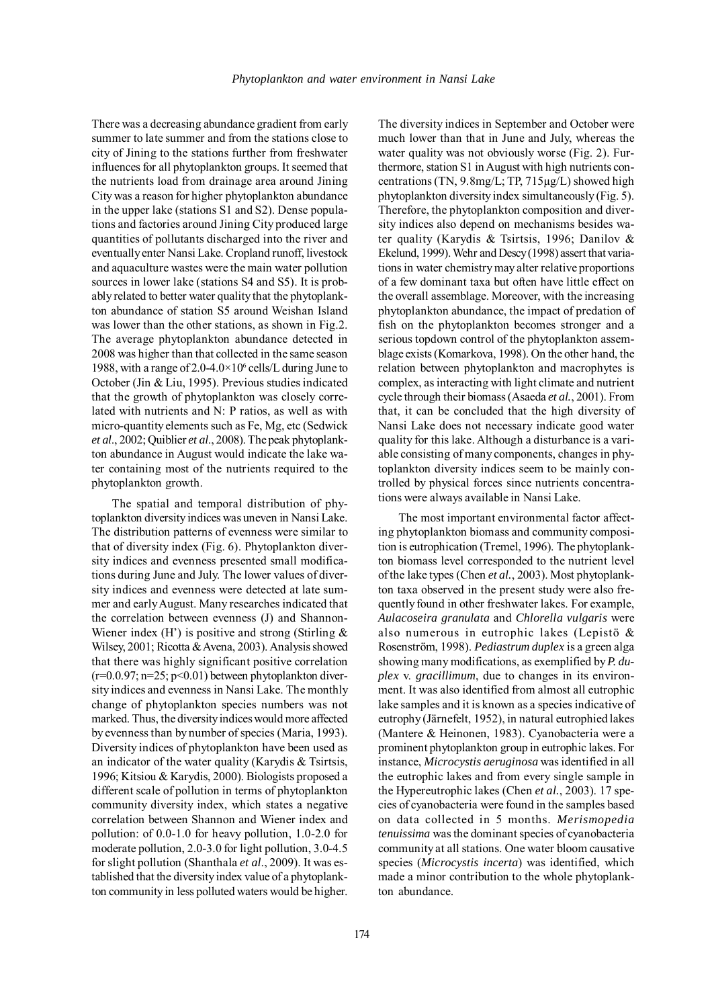There was a decreasing abundance gradient from early summer to late summer and from the stations close to city of Jining to the stations further from freshwater influences for all phytoplankton groups. It seemed that the nutrients load from drainage area around Jining City was a reason for higher phytoplankton abundance in the upper lake (stations S1 and S2). Dense populations and factories around Jining City produced large quantities of pollutants discharged into the river and eventually enter Nansi Lake. Cropland runoff, livestock and aquaculture wastes were the main water pollution sources in lower lake (stations S4 and S5). It is probably related to better water quality that the phytoplankton abundance of station S5 around Weishan Island was lower than the other stations, as shown in Fig.2. The average phytoplankton abundance detected in 2008 was higher than that collected in the same season 1988, with a range of  $2.0 - 4.0 \times 10^6$  cells/L during June to October (Jin & Liu, 1995). Previous studies indicated that the growth of phytoplankton was closely correlated with nutrients and N: P ratios, as well as with micro-quantity elements such as Fe, Mg, etc (Sedwick *et al*., 2002; Quiblier *et al*., 2008). The peak phytoplankton abundance in August would indicate the lake water containing most of the nutrients required to the phytoplankton growth.

The spatial and temporal distribution of phytoplankton diversity indices was uneven in Nansi Lake. The distribution patterns of evenness were similar to that of diversity index (Fig. 6). Phytoplankton diversity indices and evenness presented small modifications during June and July. The lower values of diversity indices and evenness were detected at late summer and early August. Many researches indicated that the correlation between evenness (J) and Shannon-Wiener index  $(H')$  is positive and strong (Stirling  $\&$ Wilsey, 2001; Ricotta & Avena, 2003). Analysis showed that there was highly significant positive correlation  $(r=0.0.97; n=25; p<0.01)$  between phytoplankton diversity indices and evenness in Nansi Lake. The monthly change of phytoplankton species numbers was not marked. Thus, the diversity indices would more affected by evenness than by number of species (Maria, 1993). Diversity indices of phytoplankton have been used as an indicator of the water quality (Karydis & Tsirtsis, 1996; Kitsiou & Karydis, 2000). Biologists proposed a different scale of pollution in terms of phytoplankton community diversity index, which states a negative correlation between Shannon and Wiener index and pollution: of 0.0-1.0 for heavy pollution, 1.0-2.0 for moderate pollution, 2.0-3.0 for light pollution, 3.0-4.5 for slight pollution (Shanthala *et al*., 2009). It was established that the diversity index value of a phytoplankton community in less polluted waters would be higher. The diversity indices in September and October were much lower than that in June and July, whereas the water quality was not obviously worse (Fig. 2). Furthermore, station S1 in August with high nutrients concentrations (TN, 9.8mg/L; TP, 715µg/L) showed high phytoplankton diversity index simultaneously (Fig. 5). Therefore, the phytoplankton composition and diversity indices also depend on mechanisms besides water quality (Karydis & Tsirtsis, 1996; Danilov & Ekelund, 1999). Wehr and Descy (1998) assert that variations in water chemistry may alter relative proportions of a few dominant taxa but often have little effect on the overall assemblage. Moreover, with the increasing phytoplankton abundance, the impact of predation of fish on the phytoplankton becomes stronger and a serious topdown control of the phytoplankton assemblage exists (Komarkova, 1998). On the other hand, the relation between phytoplankton and macrophytes is complex, as interacting with light climate and nutrient cycle through their biomass (Asaeda *et al.*, 2001). From that, it can be concluded that the high diversity of Nansi Lake does not necessary indicate good water quality for this lake. Although a disturbance is a variable consisting of many components, changes in phytoplankton diversity indices seem to be mainly controlled by physical forces since nutrients concentrations were always available in Nansi Lake.

The most important environmental factor affecting phytoplankton biomass and community composition is eutrophication (Tremel, 1996). The phytoplankton biomass level corresponded to the nutrient level of the lake types (Chen *et al.*, 2003). Most phytoplankton taxa observed in the present study were also frequently found in other freshwater lakes. For example, *Aulacoseira granulata* and *Chlorella vulgaris* were also numerous in eutrophic lakes (Lepistö & Rosenström, 1998). *Pediastrum duplex* is a green alga showing many modifications, as exemplified by *P. duplex* v. *gracillimum*, due to changes in its environment. It was also identified from almost all eutrophic lake samples and it is known as a species indicative of eutrophy (Järnefelt, 1952), in natural eutrophied lakes (Mantere & Heinonen, 1983). Cyanobacteria were a prominent phytoplankton group in eutrophic lakes. For instance, *Microcystis aeruginosa* was identified in all the eutrophic lakes and from every single sample in the Hypereutrophic lakes (Chen *et al.*, 2003). 17 species of cyanobacteria were found in the samples based on data collected in 5 months. *Merismopedia tenuissima* was the dominant species of cyanobacteria community at all stations. One water bloom causative species (*Microcystis incerta*) was identified, which made a minor contribution to the whole phytoplankton abundance.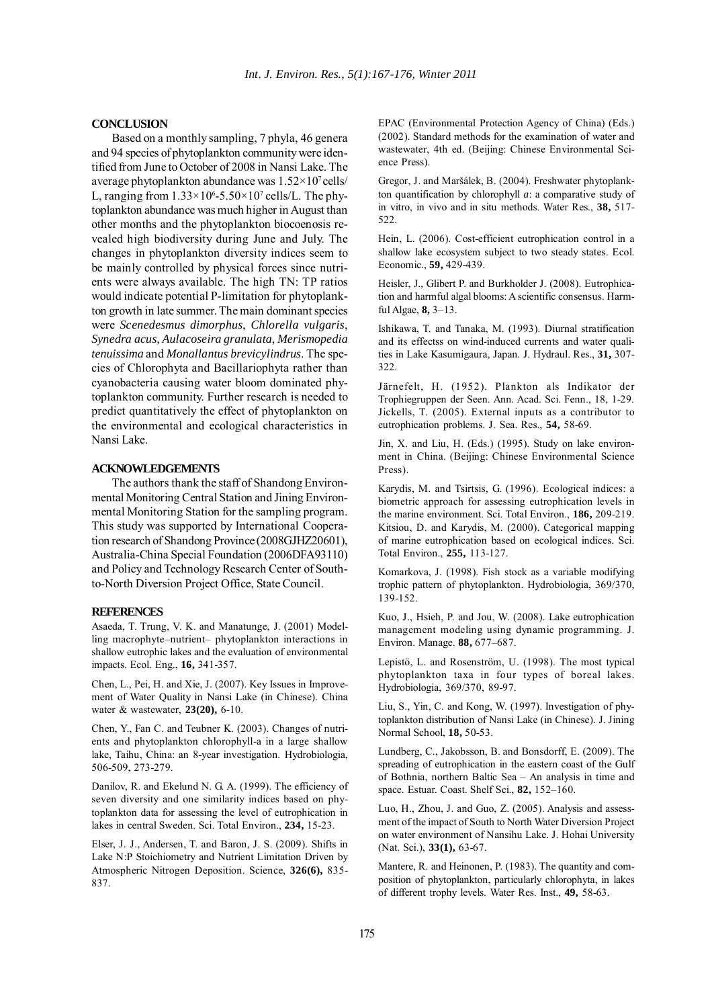## **CONCLUSION**

Based on a monthly sampling, 7 phyla, 46 genera and 94 species of phytoplankton community were identified from June to October of 2008 in Nansi Lake. The average phytoplankton abundance was  $1.52 \times 10^7$  cells/ L, ranging from  $1.33 \times 10^6$ -5.50 $\times 10^7$  cells/L. The phytoplankton abundance was much higher in August than other months and the phytoplankton biocoenosis revealed high biodiversity during June and July. The changes in phytoplankton diversity indices seem to be mainly controlled by physical forces since nutrients were always available. The high TN: TP ratios would indicate potential P-limitation for phytoplankton growth in late summer. The main dominant species were *Scenedesmus dimorphus*, *Chlorella vulgaris*, *Synedra acus, Aulacoseira granulata*, *Merismopedia tenuissima* and *Monallantus brevicylindrus*. The species of Chlorophyta and Bacillariophyta rather than cyanobacteria causing water bloom dominated phytoplankton community. Further research is needed to predict quantitatively the effect of phytoplankton on the environmental and ecological characteristics in Nansi Lake.

## **ACKNOWLEDGEMENTS**

The authors thank the staff of Shandong Environmental Monitoring Central Station and Jining Environmental Monitoring Station for the sampling program. This study was supported by International Cooperation research of Shandong Province (2008GJHZ20601), Australia-China Special Foundation (2006DFA93110) and Policy and Technology Research Center of Southto-North Diversion Project Office, State Council.

#### **REFERENCES**

Asaeda, T. Trung, V. K. and Manatunge, J. (2001) Modelling macrophyte–nutrient– phytoplankton interactions in shallow eutrophic lakes and the evaluation of environmental impacts. Ecol. Eng., **16,** 341-357.

Chen, L., Pei, H. and Xie, J. (2007). Key Issues in Improvement of Water Quality in Nansi Lake (in Chinese). China water & wastewater, **23(20),** 6-10.

Chen, Y., Fan C. and Teubner K. (2003). Changes of nutrients and phytoplankton chlorophyll-a in a large shallow lake, Taihu, China: an 8-year investigation. Hydrobiologia, 506-509, 273-279.

Danilov, R. and Ekelund N. G. A. (1999). The efficiency of seven diversity and one similarity indices based on phytoplankton data for assessing the level of eutrophication in lakes in central Sweden. Sci. Total Environ., **234,** 15-23.

Elser, J. J., Andersen, T. and Baron, J. S. (2009). Shifts in Lake N:P Stoichiometry and Nutrient Limitation Driven by Atmospheric Nitrogen Deposition. Science, **326(6),** 835- 837.

EPAC (Environmental Protection Agency of China) (Eds.) (2002). Standard methods for the examination of water and wastewater, 4th ed. (Beijing: Chinese Environmental Science Press).

Gregor, J. and Maršálek, B. (2004). Freshwater phytoplankton quantification by chlorophyll *a*: a comparative study of in vitro, in vivo and in situ methods. Water Res., **38,** 517- 522.

Hein, L. (2006). Cost-efficient eutrophication control in a shallow lake ecosystem subject to two steady states. Ecol. Economic., **59,** 429-439.

Heisler, J., Glibert P. and Burkholder J. (2008). Eutrophication and harmful algal blooms: A scientific consensus. Harmful Algae, **8,** 3–13.

Ishikawa, T. and Tanaka, M. (1993). Diurnal stratification and its effectss on wind-induced currents and water qualities in Lake Kasumigaura, Japan. J. Hydraul. Res., **31,** 307- 322.

Järnefelt, H. (1952). Plankton als Indikator der Trophiegruppen der Seen. Ann. Acad. Sci. Fenn., 18, 1-29. Jickells, T. (2005). External inputs as a contributor to eutrophication problems. J. Sea. Res., **54,** 58-69.

Jin, X. and Liu, H. (Eds.) (1995). Study on lake environment in China. (Beijing: Chinese Environmental Science Press).

Karydis, M. and Tsirtsis, G. (1996). Ecological indices: a biometric approach for assessing eutrophication levels in the marine environment. Sci. Total Environ., **186,** 209-219. Kitsiou, D. and Karydis, M. (2000). Categorical mapping of marine eutrophication based on ecological indices. Sci. Total Environ., **255,** 113-127.

Komarkova, J. (1998). Fish stock as a variable modifying trophic pattern of phytoplankton. Hydrobiologia, 369/370, 139-152.

Kuo, J., Hsieh, P. and Jou, W. (2008). Lake eutrophication management modeling using dynamic programming. J. Environ. Manage. **88,** 677–687.

Lepistö, L. and Rosenström, U. (1998). The most typical phytoplankton taxa in four types of boreal lakes. Hydrobiologia, 369/370, 89-97.

Liu, S., Yin, C. and Kong, W. (1997). Investigation of phytoplankton distribution of Nansi Lake (in Chinese). J. Jining Normal School, **18,** 50-53.

Lundberg, C., Jakobsson, B. and Bonsdorff, E. (2009). The spreading of eutrophication in the eastern coast of the Gulf of Bothnia, northern Baltic Sea – An analysis in time and space. Estuar. Coast. Shelf Sci., **82,** 152–160.

Luo, H., Zhou, J. and Guo, Z. (2005). Analysis and assessment of the impact of South to North Water Diversion Project on water environment of Nansihu Lake. J. Hohai University (Nat. Sci.), **33(1),** 63-67.

Mantere, R. and Heinonen, P. (1983). The quantity and composition of phytoplankton, particularly chlorophyta, in lakes of different trophy levels. Water Res. Inst., **49,** 58-63.